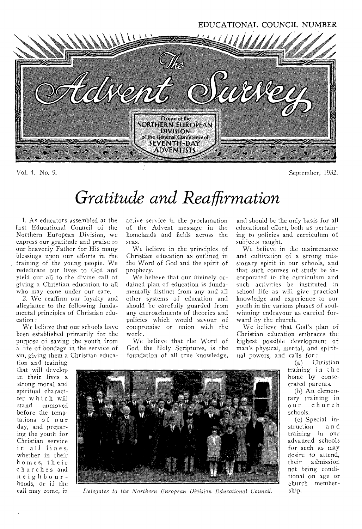EDUCATIONAL COUNCIL NUMBER



Vol. 4. No. 9. September, 1932.

# *Gratitude and Reaffirmation*

1. As educators assembled at the first Educational Council of the Northern European Division, we express our gratitude and praise to our heavenly Father for His many blessings upon our efforts in the training of the young people. We rededicate our lives to God and yield our all to the divine call of giving a Christian education to all who may come under our care.

2. We reaffirm our loyalty and allegiance to the following fundamental principles of Christian education :

We believe that our schools have been established primarily for the purpose of saving the youth from a life of bondage in the service of sin, giving them a Christian educa-

tion and training that will develop in their lives a strong moral and spiritual charactter which will unmoved before the temptations of our day, and preparing the youth for Christian service in all lines, whether in their homes, their churches and neighbourhoods, or if the call may come, in

active service in the proclamation of the Advent message in the homelands and fields across the seas.

We believe in the principles of Christian education as outlined in the Word of God and the spirit of prophecy.

We believe that our divinely ordained plan of education is fundamentally distinct from any and all other systems of education and should be carefully guarded from any encroachments of theories and policies which would savour of compromise or union with the world.

We believe that the Word of God, the Holy Scriptures, is the foundation of all true knowledge,

and should be the only basis for all educational effort, both as pertaining to policies and curriculum of subjects taught.

We believe in the maintenance and cultivation of a strong missionary spirit in our schools, and that such courses of study be incorporated in the curriculum and such activities be instituted in school life as will give practical knowledge and experience to our youth in the various phases of soulwinning endeavour as carried forward by the church.

We believe that God's plan of Christian education embraces the highest possible development of man's physical, mental, and spiritual powers, and calls for :

> (a) Christian training in the home by consecrated parents.

(b) An elementary training in our church schools.

(c) Special instruction a n d training in our advanced schools for such as may desire to attend, their admission not being conditional on age or church membership.



*Delegates to the Northern European Division Educational Council.*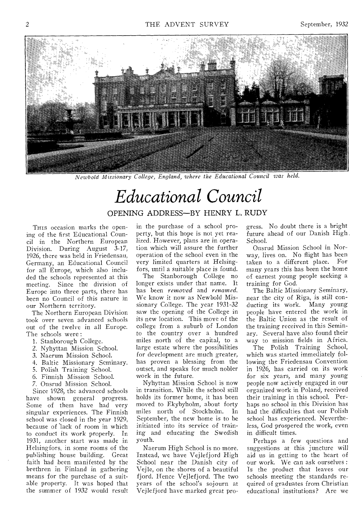

*Newbold Missionary College, England, where the Educational Council was held.* 

## *Educational Council*  OPENING ADDRESS—BY HENRY L. RUDY

THIS occasion marks the opening of the first Educational Council in the Northern European Division. During August 3-17, 1926, there was held in Friedensau, Germany, an Educational Council for all Europe, which also included the schools represented at this meeting. Since the division of Europe into three parts, there has been no Council of this nature in our Northern territory.

The Northern European Division took over seven advanced schools out of the twelve in all Europe. The schools were :

- 1. Stanborough College.
- 2. Nyhyttan Mission School.
- 3. Naerum Mission School.
- 4. Baltic Missionary Seminary.
- 5. Polish Training School.
- 6. Finnish Mission School.
- 7. Onsrud Mission School.

Since 1928, the advanced schools have shown general progress. Some of them have had very singular experiences. The Finnish school was closed in the year 1929, because of lack of room in which to conduct its work properly. In 1931, another start was made in Helsingfors, in some rooms of the publishing house building. Great faith had been manifested by the brethren in Finland in gathering means for the purchase of a suitable property. It was hoped that the summer of 1932 would result

in the purchase of a school property, but this hope is not yet realized. However, plans are in operation which will assure the further operation of the school even in the very limited quarters at Helsingfors, until a suitable place is found.

The Stanborough College no longer exists under that name. It has been *removed* and *renamed.*  We know it now as Newbold Missionary College. The year 1931-32 saw the opening of the College in its new location. This move of the college from a suburb of London to the country over a hundred miles north of the capital, to a large estate where the possibilities for development are much greater, has proven a blessing from the outset, and speaks for much nobler work in the future.

Nyhyttan Mission School is now in transition. While the school still holds its former home, it has been moved to Ekybyholm, about forty miles north of Stockholm. In September, the new home is to be initiated into its service of training and educating the Swedish youth.

Naerum High School is no more. Instead, we have Vejlefjord High School near the Danish city of Vejle, on the shores of a beautiful fjord. Hence Vejlefjord. The two years of the school's sojourn at Vejlefjord have marked great progress. No doubt there is a bright future ahead of our Danish High . School.

Onsrud Mission School in Norway, lives on. No flight has been taken to a different place. For many *years* this has been the home of earnest young people seeking a training for God.

The Baltic Missionary Seminary, near the city of Riga, is still conducting its work. Many young people have entered the work in the Baltic Union as the result of the training received in this Seminary. Several have also found their way to mission fields in Africa.

The Polish Training School, which was started immediately following the Friedensau Convention in 1926, has carried on its work for six years, and many young people now actively engaged in our organized work in Poland, received their training in this school. Perhaps no school in this Division has had the difficulties that our Polish school has experienced. Nevertheless, God prospered the work, even in difficult times.

Perhaps a few questions and suggestions at this juncture will aid us in getting to the heart of our work. We can ask ourselves : Is the product that leaves our schools meeting the standards required of graduates from Christian educational institutions? Are we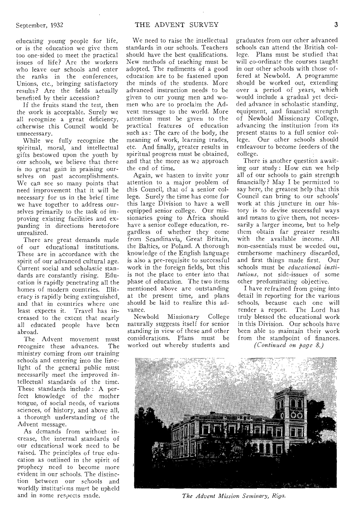educating young people for life, or is the education we give them too one-sided to meet the practical issues of life? Are the workers who leave our schools and enter the ranks in the conferences, Unions, etc., bringing satisfactory results? Are the fields actually benefited by their accession?

If the fruits stand the test, then the work is acceptable. Surely we all recognize a great deficiency, otherwise this Council would be unnecessary.

While we fully recognize the spiritual, moral, and intellectual gifts bestowed upon the youth by our schools, we believe that there is no great gain in praising ourselves on past accomplishments. We can see so many points that need improvement that it will be necessary for us in the brief time we have together to address ourselves primarily to the task of improving existing facilities and expanding in directions heretofore unrealized.

There are great demands made of our educational institutions. These are in accordance with the spirit of our advanced cultural age. Current social and scholastic standards are constantly rising. Education is rapidly penetrating all the homes of modern countries. Illiteracy is rapidly being extinguished, and that in countries where one least expects it. Travel has increased to the extent that nearly all educated people have been abroad.

The Advent movement must<br>cognize these advances. The recognize these advances. ministry coming from our training schools and entering into the limelight of the general public must necessarily meet the improved intellectual standards of the time. These standards include : A perfect knowledge of the mother tongue, of social needs, of various sciences, of history, and above all, a thorough understanding of the Advent message.

As demands from without increase, the internal standards of our educational work need to be raised. The principles of true education as outlined in the spirit of prophecy need to become more evident in our schools. The distinction between our schools and worldly institutions must be upheld and in some respects made.

We need to raise the intellectual standards in our schools. Teachers should have the best qualifications. New methods of teaching must be adopted. The rudiments of a good education are to be fastened upon the minds of the students. More advanced instruction needs to be given to our young men and women who are to proclaim the Advent message to the world. More attention must be given to the practical features of education such as : The care of the body, the meaning of work, learning trades, etc. And finally, greater results in spiritual progress must be obtained, and that the more as we approach the end of time.

Again, we hasten to invite your attention to a major problem of this Council, that of a senior college. Surely the time has come for this large Division to have a well equipped senior college. Our missionaries going to Africa should have a senior college education, regardless of whether they come from Scandinavia, Great Britain, the Baltics, or Poland. A thorough knowledge of the English language is also a pre-requisite to successful work in the foreign fields, but this is not the place to enter into that phase of education. The two items mentioned above are outstanding at the present time, and plans should be laid to realize this advance.

Newbold Missionary College naturally suggests itself for senior standing in view of these and other considerations. Plans must be worked out whereby students and

graduates from our other advanced schools can attend the British college. Plans must be studied that will co-ordinate the courses taught in our other schools with those offered at Newbold. A programme should be worked out, extending over a period of years, which would include a gradual yet decided advance in scholastic standing, equipment, and financial strength of Newbold Missionary College, advancing the institution from its present status to a full senior college. Our other schools should endeavour to become feeders of the college.

There is another question awaiting our study : How can we help all of our schools to gain strength financially? May I be permitted to say here, the greatest help that this Council can bring to our schools' work at this juncture in our history is to devise successful ways and means to give them, not necessarily a larger income, but to help them obtain far greater results with the available income. All non-essentials must be weeded out, cumbersome machinery discarded, and first things made first. Our schools must be *educational institutions,* not side-issues of some other predominating objective.

I have refrained from going into detail in reporting for the various schools, because each one will render a report. The Lord has truly blessed the educational work in this Division. Our schools have been able to maintain their work from the standpoint of finances.

*(Continued on page 8.)* 



*The Advent Mission Seminary, Riga.*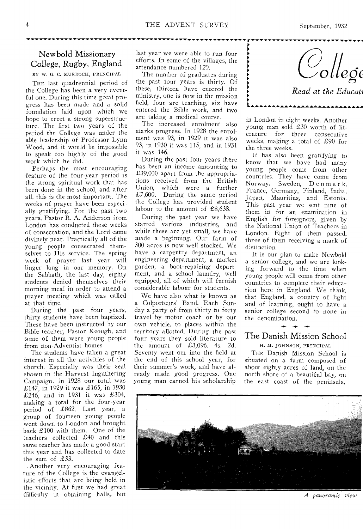## Newbold Missionary College, Rugby, England

BY W. G. C. MURDOCH, PRINCIPAL THE last quadrennial period of the College has been a very eventful one. During this time great progress has been made and a solid foundation laid upon which we hope to erect a strong superstructure. The first two years of the period the College was under the able leadership of Professor Lynn Wood, and it would be impossible to speak too highly of the good work which he did.

Perhaps the most encouraging feature of the four-year period is the strong spiritual work that has been done in the school, and after all, this is the most important. The weeks of prayer have been especially gratifying. For the past two years, Pastor R. A. Anderson from London has conducted these weeks of consecration, and the Lord came divinely near. Practically all of the young people consecrated themselves to His service. The spring week of prayer last year will linger long in our memory. On the Sabbath, the last day, eighty students denied themselves their morning meal in order to attend a prayer meeting which was called at that time.

During the past four years, thirty students have been baptized. These have been instructed by our Bible teacher, Pastor Keough, and some of them were young people from non-Adventist homes.

The students have taken a great interest in all the activities of the church. Especially was their zeal shown in the Harvest Ingathering, Campaign. In 1928 our total was £147, in 1929 it was £165, in 1930 £246, and in 1931 it was £304, making a total for the four-year period of £862. Last year, a group of fourteen young people went down to London and brought back £100 with them. One of the teachers collected £40 and this same teacher has made a good start this year and has collected to date the sum of £33.

Another very encouraging feature of the College is the evangelistic efforts that are being held in the vicinity. At first we had great difficulty in obtaining halls, but last year we were able to run four efforts. In some of the villages, the attendance numbered 120.

The number of graduates during the past four years is thirty. Of these, thirteen have entered the ministry, one is now in the mission field, four are teaching, six have entered the Bible work, and two are taking a medical course.

The increased enrolment also marks progress. In 1928 the enrolment was 93, in 1929 it was also 93, in 1930 it was 115, and in 1931 it was 146.

During the past four years there has been an income amounting to £39,000 apart from the appropriations received from the British Union, which were a further £7,600. During the same period the College has provided student labour to the amount of £8,638.

During the past year we have started various industries, and while these are yet small, we have made a beginning. Our farm of 300 acres is now well stocked. We have a carpentry department, an engineering department, a market garden, a boot-repairing department, and a school laundry, well equipped, all of which will furnish considerable labour for students.

We have also what is known as Colporteurs' Band. Each Sunday a party of from thirty to forty travel by motor coach or by our own vehicle, to places within the territory allotted. During the past four years they sold literature to the amount of £3,096. 4s. 2d. Seventy went out into the field at the end of this school year, for their summer's work, and have already made good progress. One young man earned his scholarship

*oleg(* 

*Read at the Educati* 

**AAAAAAAAAAAAA** 

in London in eight weeks. Another young man sold £30 worth of literature for three consecutive weeks, making a total of £90 for the three weeks.

►

It has also been gratifying to know that we have had many young people come from other countries. They have come from Norway, Sweden, D e n m a r k, France, Germany, Finland, India, Japan, Mauritius, and Estonia. This past year we sent nine of them in for an examination in English for foreigners, given by the National Union of Teachers in London. Eight of them passed, three of them receiving a mark of distinction.

It is our plan to make Newbold a senior college, and we are looking forward to the time when young people will come from other countries to complete their education here in England. We think, that England, a country of light and of learning, ought to have a senior college second to none in the denomination.

## The Danish Mission School

H. M. JOHNSON, PRINCIPAL

THE Danish Mission School is situated on a farm composed of about eighty acres of land, on the north shore of a beautiful bay, on the east coast of the peninsula,



\_4 *panoramic view*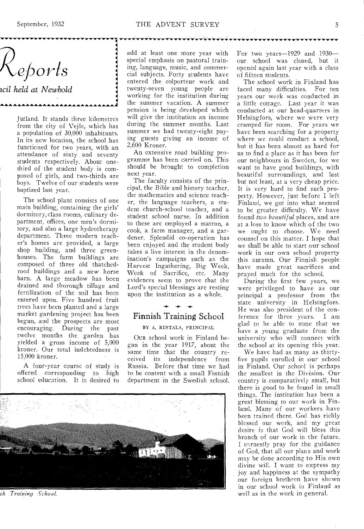**4 4** 

**4** 

*orls* 

*icil held at Newbold* 

Jutland. It stands three kilometres from the city of Vejle, which has a population of 30,000 inhabitants. In its new location, the school has functioned for two years, with an attendance of sixty and seventy students respectively. About onethird of the student body is composed of girls, and two-thirds are boys. Twelve of our students were baptized last year.

The school plant consists of one main building, containing the girls' dormitory, class rooms, culinary department, offices, one men's dormitory, and also a large hydrotherapy department. Three modern teacher's homes are provided, a large shop building, and three greenhouses. The farm buildings are composed of three old thatchedroof buildings and a new horse barn. A large meadow has been drained and thorough tillage and fertilization of the soil has been entered upon. Five hundred fruit trees have been planted and a large market gardening project has been begun, and the prospects are most encouraging. During the past twelve months the garden has yielded a gross income of 5,000 kroner. Our total indebtedness is 15,000 kroner.

A four-year course of study is offered corresponding to high school education. It is desired to

 $\begin{array}{ccc}\n & & \\
\hline\n & & \\
& & \\
\hline\n & & \\
& & \\
\hline\n & & \\
& & \\
\hline\n & & \\
& & \\
\hline\n & & \\
& & \\
\hline\n & & \\
& & \\
\hline\n & & \\
& & \\
\hline\n & & \\
& & \\
\hline\n & & \\
& & \\
\hline\n & & \\
& & \\
\hline\n & & \\
& & \\
\hline\n & & \\
& & \\
\hline\n & & \\
& & \\
\hline\n & & \\
& & \\
\hline\n & & \\
& & \\
\hline\n & & & \\
\hline\n & & & \\
\hline\n & & & \\
\hline\n & & & \\
\hline\n & & & \\
\hline\n & & & \\
\hline\n & & & \\
\hline$ add at least one more year with special emphasis on pastoral training, language, music, and commercial subjects. Forty students have entered the colporteur work and twenty-seven young people are working for the institution during the summer vacation. A summer pension is being developed which will give the institution an income during the summer months. Last summer we had twenty-eight paying guests giving an income of 2,600 Kroner.

An extensive road building programme has been carried on. This should be brought to completion next year.

The faculty consists of the principal, the Bible and history teacher, the mathematics and science teacher, the language teachers, a student church-school teacher, and a student school nurse. In addition to these are employed a matron, a cook, a farm manager, and a gardener. Splendid co-operation has been enjoyed and the student body takes a live interest in the denomination's campaigns such as the Harvest Ingathering, Big Week, Week of Sacrifice, etc. Many evidences seem to prove that the Lord's special blessings are resting upon the institution as a whole.

## Finnish Training School

#### BY A. RINTALA, PRINCIPAL

OUR school work in Finland began in the year 1917, about the same time that the country received its independence from Russia. Before that time we had to be content with a small Finnish department in the Swedish school.



*sit Training School.* 

For two years-1929 and 1930our school was closed, but it opened again last year with a *class*  of fifteen students.

The school work in Finland has faced many difficulties. For ten years our work was conducted in a little cottage. Last year it was conducted at our head-quarters in Helsingfors, where we were very cramped for room. For years we have been searching for a property where we could conduct a school, but it has been almost as hard for us to find a place as it has been for our neighbours in Sweden, for we want to have good buildings, with beautiful surroundings, and last but not least, at a very cheap price. It is very hard to find such property. However, just before I left Finland, we got into what seemed to be greater difficulty. We have found *two beautiful* places, and are at a loss to know which of the two we ought to choose. We need counsel on this matter. I hope that we shall be able to start our school work in our own school property this autumn. Our Finnish people have made great sacrifices and prayed much for the school.

During the first few years, we were privileged to have *as* our principal a professor from the state university in Helsingfors. He was also president of the conference for three years. I am glad to be able to state that we have a young graduate from the university who will connect with the school at its opening this year.

We have had as many as thirtyfive pupils enrolled in our school in Finland, Our school is perhaps the smallest in the Division. Our country is comparatively small, but there is good to be found in small things. The institution has been a great blessing to our work in Finland. Many of our workers have been trained there. God has richly blessed our work, and my great desire is that God will bless this branch of our work in the future. I earnestly pray for the guidance of God, that all our plans and work may be done according to His own divine will. I want to express my joy and happiness at the sympathy our foreign brethren have shown in our school work in Finland as well as in the work in general.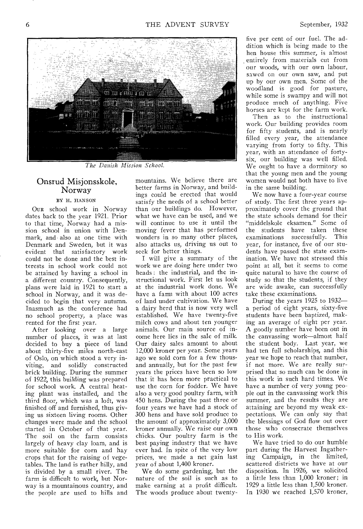

*The Danish Mission School.* 

#### Onsrud Misjonsskole, Norway

#### BY H. HANSON

OUR school work in Norway dates back to the year 1921. Prior to that time, Norway had a mission school in union with Denmark, and also at one time with Denmark and Sweden., but it was evident that satisfactory work could not be done and the best interests in school work could not be attained by having a school in a different country. Consequently, plans were laid in 1921 to start a school in Norway, and it was decided to begin that very autumn. Inasmuch as the conference had no school property, a place was rented for the first year.

After looking over a large number of places, it was at last decided to buy a piece of land about thirty-five miles north-east of Oslo, on which stood a very inviting, and solidly constructed brick building. During the summer of 1922, this building was prepared for school work. A central heating plant was installed, and the third floor, which was a loft, was finished off and furnished, thus giving us sixteen living rooms. Other changes were made and the school started in October of that year. The soil on the farm consists largely of heavy clay loam, and is more suitable for corn and hay crops that for the raising of vegetables. The land is rather hilly, and is divided by a small river. The farm is difficult to work, but Norway is a mountainous country, and the people are used to hills and mountains. We believe there are better farms in Norway, and buildings could be erected that would satisfy the needs of a school better than our buildings do. However, what we have can be used, and we will continue to use it until the moving fever that has performed wonders in so many other places, also attacks us, driving us out to seek for better things.

I will give a summary of the work we are doing here under two heads : the industrial, and the instructional work. First let us look at the industrial work done. We have a farm with about 100 acres of land under cultivation. We have a dairy herd that is now very well established. We have twenty-five milch cows and about ten younger animals. Our main source of income here lies in the sale of milk. Our dairy sales amount to about 12,000 kroner per year. Some years ago we sold corn for a few thousand annually, but for the past few years the prices have been so low that it has been more practical to use the corn for fodder. We have also a very good poultry farm, with 450 hens. During the past three or four years we have had a stock of 300 hens and have sold produce to the amount of approximately 3,000 kroner annually. We raise our own chicks. Our poultry farm is the best paying industry that we have ever had. In spite of the very low prices, we made a net gain last year of about 1,400 kroner.

We do some gardening, but the nature of the soil is such as to make earning at a profit difficult. The woods produce about twenty-

five per cent of our fuel. The addition which is being made to the hen house this summer, is almost entirely from materials cut from our woods, with our own labour, sawed on our own saw, and put up by our own men. Some of the woodland is good for pasture, while some is swampy and will not produce much of anything. Five horses are kept for the farm work.

Then as to the instructional work. Our building provides room for fifty students, and is nearly filled every year, the attendance varying from forty to fifty. This year, with an attendance of fortysix, our building was well filled. We ought to have a dormitory so that the young men and the young women would not both have to live in the same building.

We now have a four-year course of study. The first three years approximately cover the ground that the state schools demand for their "middelskole eksamen." Some of<br>the students have taken these students have taken these examinations successfully. This year, for instance, five of our students have passed the state examination. We have not stressed this point at all, but it seems to come quite natural to have the course of study so that the students, if they are wide awake, can successfully take these examinations.

During the years 1925 to 1932 a period of eight years, sixty-five students have been baptized, making an average of eight per year. A goodly number have been out in the canvassing work—almost half the student body. Last year, we had ten full scholarships, and this year we hope to reach that number, if not more. We are really surprised that so much can be done in this work in such hard times. We have a number of very young people out in the canvassing work this summer, and the results they are attaining are beyond my weak expectations. We can only say that the blessings of God flow out over those who consecrate themselves to His work.

We have tried to do our humble part during the Harvest Ingathering Campaign, in the limited, scattered districts we have at our disposition. In 1926, we solicited a little less than 1,000 kroner; in 1929 a little less than 1,500 kroner. In 1930 we reached 1,570 kroner,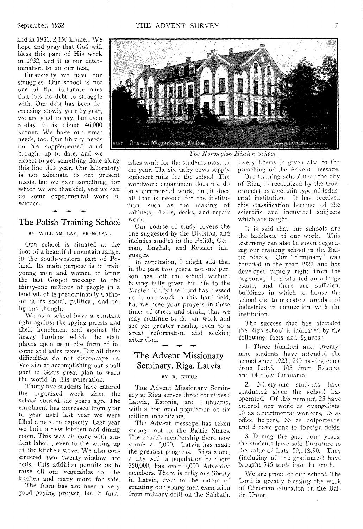and in 1931, 2,150 kroner. We hope and pray that God will bless this part of His work in 1932, and it is our determination to do our best.

Financially we have our struggles. Our school is not one of the fortunate ones that has no debt to struggle with. Our debt has been decreasing slowly year by year, we are glad to say, but even to-day it is about 46,000 kroner. We have our great needs, too. Our library needs to be supplemented a n d brought up to date, and we

expect to get something done along this line this year. Our laboratory is not adequate to our present needs, but we have something, for which we are thankful, and we can do some experimental work in science.

#### The Polish Training School

**-4.-** 

#### BY WILLIAM LAY, PRINCIPAL

OUR school is situated at the foot of a beautiful mountain range, in the south-western part of Poland. Its main purpose is to train young men and women to bring the last Gospel message to the thirty-one millions of people in a land which is predominately Catholic in its social, political, and religious thought.

We as a school have a constant fight against the spying priests and their henchmen, and against the heavy burdens which the state places upon us in the form of income and sales taxes. But all these difficulties do not discourage us. We aim at accomplishing our small part in God's great plan to warn the world in this generation.

Thirty-five students have entered the organized work since the school started six years ago. The enrolment has increased from year to year until last year we were filled almost to capacity. Last year we built a new kitchen and dining room. This was all done with student labour, even to the setting up of the kitchen stove. We also constructed two twenty-window hot beds. This addition permits us to raise all our vegetables for the kitchen and many more for sale.

The farm has not been a very good paying project, but it furn-



*The Norwegin Mission School.* 

ishes work for the students most of the year. The six dairy cows supply sufficient milk for the school. The woodwork department does not do any commercial work, but it does all that is needed for the institution, such as the making of cabinets, chairs, desks, and repair work.

Our course of study covers the one suggested by the Division, and includes studies in the Polish, German, English, and Russian languages.

In conclusion, I might add that in the past two years, not one person has left the school without having fully given his life to the Master. Truly the Lord has blessed us in our work in this hard field, but we need your prayers in these times of stress and strain, that **we**  may continue to do our work and see yet greater results, even to a great reformation and seeking after God.  $\ddot{\phantom{0}}$ 

## The Advent Missionary Seminary, Riga, Latvia

#### BY R. KIPUR

THE Advent Missionary Seminary at Riga serves three countries : Latvia, Estonia, and Lithuania, with a combined population of six million inhabitants.

The Advent message has taken strong root in the Baltic States. The church membership there now stands at 5,000. Latvia has made the greatest progress. Riga alone, a city with a population of about 350,000, has over 1,000 Adventist members, There is religious liberty in Latvia, even to the extent of granting our young men exemption from military drill on the Sabbath.

**Every liberty is given also to the preaching of the Advent message.** 

Our **training school near the city**  of Riga, **is recognized by the** Government **as a certain type of** industrial **institution.** It **has** received this classification because of the scientific **and** industrial subjects which are taught.

It **is said** that **cur** schools are the **backbone** of **our work.** This testimony can **also be given** regarding our training **school** in the Baltic States. **Our** "Seminary" was founded in the **year** 1923 and has developed rapidly **right** from the **beginning.** It is situated on a large estate, and there are sufficient **buildings** in which **to** house the school **and** to **operate a** number of industries **in connection** with the institution.

The **success** that has attended the Riga **school is** indicated by the following facts and figures :

1. Three hundred and twentynine students have attended the school since 1923; 210 having come from Latvia., 105 from **Estonia,**  and 14 from Lithuania.

2. Ninety-one students have graduated since the school has **operated.** Of this number, 23 have entered our work as evangelists, 10 as departmental workers, 13 as office helpers, 33 **as** colporteurs, and 3 have **gone to foreign fields.** 

3. During **the past four years, the** students **have sold** literature to the value of Lats. 59,118.90. They (including all the graduates) have brought 546 souls into the truth.

We are proud of our school. The Lord is greatly blessing the work of Christian education in the Baltic Union.